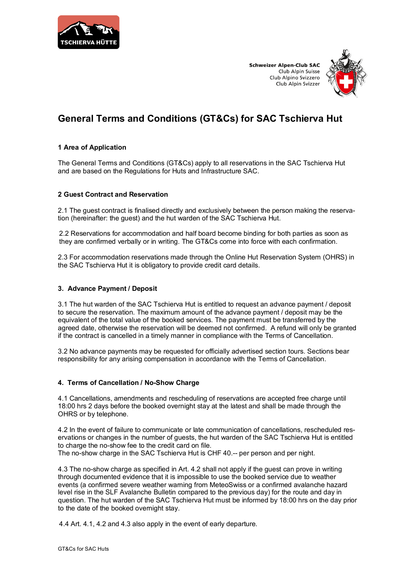

**Schweizer Alpen-Club SAC** Club Alpin Suisse Club Alpino Svizzero Club Alpin Svizzer



# **General Terms and Conditions (GT&Cs) for SAC Tschierva Hut**

# **1 Area of Application**

The General Terms and Conditions (GT&Cs) apply to all reservations in the SAC Tschierva Hut and are based on the Regulations for Huts and Infrastructure SAC.

# **2 Guest Contract and Reservation**

2.1 The guest contract is finalised directly and exclusively between the person making the reservation (hereinafter: the guest) and the hut warden of the SAC Tschierva Hut.

2.2 Reservations for accommodation and half board become binding for both parties as soon as they are confirmed verbally or in writing. The GT&Cs come into force with each confirmation.

2.3 For accommodation reservations made through the Online Hut Reservation System (OHRS) in the SAC Tschierva Hut it is obligatory to provide credit card details.

### **3. Advance Payment / Deposit**

3.1 The hut warden of the SAC Tschierva Hut is entitled to request an advance payment / deposit to secure the reservation. The maximum amount of the advance payment / deposit may be the equivalent of the total value of the booked services. The payment must be transferred by the agreed date, otherwise the reservation will be deemed not confirmed. A refund will only be granted if the contract is cancelled in a timely manner in compliance with the Terms of Cancellation.

3.2 No advance payments may be requested for officially advertised section tours. Sections bear responsibility for any arising compensation in accordance with the Terms of Cancellation.

# **4. Terms of Cancellation / No-Show Charge**

4.1 Cancellations, amendments and rescheduling of reservations are accepted free charge until 18:00 hrs 2 days before the booked overnight stay at the latest and shall be made through the OHRS or by telephone.

4.2 In the event of failure to communicate or late communication of cancellations, rescheduled reservations or changes in the number of guests, the hut warden of the SAC Tschierva Hut is entitled to charge the no-show fee to the credit card on file.

The no-show charge in the SAC Tschierva Hut is CHF 40.-- per person and per night.

4.3 The no-show charge as specified in Art. 4.2 shall not apply if the guest can prove in writing through documented evidence that it is impossible to use the booked service due to weather events (a confirmed severe weather warning from MeteoSwiss or a confirmed avalanche hazard level rise in the SLF Avalanche Bulletin compared to the previous day) for the route and day in question. The hut warden of the SAC Tschierva Hut must be informed by 18:00 hrs on the day prior to the date of the booked overnight stay.

4.4 Art. 4.1, 4.2 and 4.3 also apply in the event of early departure.